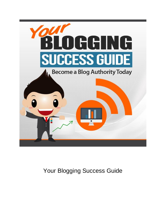

Your Blogging Success Guide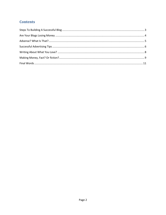# **Contents**

<span id="page-1-0"></span>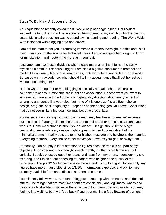# **Steps To Building A Successful Blog**

An Acquaintance recently asked me if I would help her begin a blog. Her request inspired me to look at what I have acquired from operating my own blog for the past two years. My initial proposition was to spend awhile learning and reading. The World Wide Web is flooded with blogging data and advice.

I am not the man to aid you in returning immense numbers overnight, but this data is all over. I am also not the source for technical points; I acknowledge what I ought to know for my situation, and I determine more as I require it.

I assume I am like most individuals who release material on the Internet. I classify myself as a small-but-serious blogger. I am also a big-time consumer of material and media. I follow many blogs in several niches, both for material and to learn what works. So based on my experience, what should I tell my acquaintance that'll get her set out without consuming her?

Here is where I began. For me, blogging is basically a relationship. Two crucial components of any relationship are intent and association. Choose what you want to achieve. You are able to find dozens of high-quality direction about every aspect of arranging and controlling your blog, but none of it is one-size-fits-all. Each choicedesign, program, post length, style—depends on the ending goal you have. Conclusions that do not seem like a big deal now may become crucial later.

For instance, self-hosting with your own domain may feel like an unneeded expense, but it is crucial if your goal is to construct a personal brand or a business around your web site. Remember that it is about your audience. Design should fit the blog's personality. An overly easy design might appear plain and undesirable, but the minimalist theme in reality sets the tone for his/her message and heightens the material. Everything matters. Every choice either moves you towards your goal or away from it.

Personally, I do not pay a lot of attention to figures because traffic is not part of my objective. I consider and track analytics each month, but that is really more about curiosity. I seek trends, try out other ideas, and learn from my errors. I consider my site as a ring, and I think about appealing to readers who heighten the quality of the discussion. The point? My technique is deliberate and fits my total goal. Incidentally, my figures have more than tripled since 1/1/10. Information, expertise, and opinion are promptly available from an endless assortment of sources.

I consistently follow writers and other bloggers to keep up with the trends and ideas of others. The things that are most important are consistency and legitimacy. Antics and tricks provide short-term spikes at the expense of long-term trust and loyalty. You may fool me into visiting, but I won't be back if you treat me like a fool. Beware of barriers. I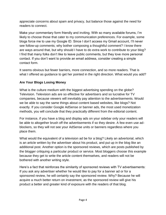appreciate concerns about spam and privacy, but balance those against the need for readers to connect.

Make your commentary form friendly and inviting. With so many available forums, I'm likely to choose those that cater to my communication preferences. For example, some blogs force me to use my Google ID. Since I don't access my Gmail account, I'll never see follow-up comments; why bother composing a thoughtful comment? I know there are ways around that, but why should I have to do extra work to contribute to your blog? I find that many folks don't like to leave public comments, but they love more personal contact. If you don't want to provide an email address, consider creating a simple contact form.

It seems obvious but fewer barriers, more connection, and so more readers. That is what I offered as guidance to get her pointed in the right direction. What would you add?

# <span id="page-3-0"></span>**Are Your Blogs Losing Money**

What is the culture medium with the biggest advertising spending on the globe? Television. Television ads are so effective for advertisers and so lucrative for TV companies, because viewers will inevitably pay attention to the advertisements. Would we be able to say the same things about content based websites, like blogs? Not exactly. If you consider Google AdSense or banner ads, the most used monetization methods, you will conclude that they practically different from the editorial content.

For instance, if you have a blog and display ads on your sidebar only your readers will be able to altogether brush off the advertisements if so they desire. A few even use adblockers, so they will not see your AdSense units or banners regardless where you place them.

What would the equivalent of a television ad be for a blog? Likely an advertorial, which is an article written by the advertiser about his product, and put up in the blog like an additional post. Another option is the sponsored reviews, which are posts published by the blogger critiquing a particular product or service. Most bloggers choose this example because they get to write the article content themselves, and readers will not be bothered with another writing style.

Here's a fact that reinforces the similarity of sponsored reviews with TV advertisements: If you ask any advertiser whether he would like to pay for a banner ad or for a sponsored review, he will certainly say the sponsored review. Why? Because he will acquire a much better return on investment, as the sponsored review will give his product a better and greater kind of exposure with the readers of that blog.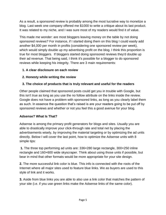As a result, a sponsored review is probably among the most lucrative way to monetize a blog. Last week one company offered me \$1000 to write a critique about its last product. It was related to my niche, and I was sure most of my readers would find it of value.

This made me wonder: are most bloggers leaving money on the table by not doing sponsored reviews? For instance, if I started doing them on this blog I could easily add another \$4,000 per month in profits (considering one sponsored review per week), which would simply double up my advertising profit on the blog. I think this proportion is true for most bloggers. If bloggers started doing sponsored reviews they'd double up their ad revenue. That being said, I think it's possible for a blogger to do sponsored reviews while keeping his integrity. There are 3 main requirements:

# **1. A clear disclosure on each review**

# **2. Honesty while writing the review**

# **3. The choice of products that is truly relevant and useful for the readers**

Other people claimed that sponsored posts could get you in trouble with Google, but this isn't true as long as you use the no follow attribute on the links inside the review. Google does not have a problem with sponsored links, as long as you clearly label them as such. In essence the question that's raised is are your readers going to be put off by sponsored reviews and whether or not you feel this a good avenue for your blog.

# <span id="page-4-0"></span>**Adsense? What Is That?**

Adsense is among the primary profit generators for blogs and sites. Usually you are able to drastically improve your click-through rate and total net by placing the advertisements wisely, by improving the material targeting or by optimizing the ad units directly. Below I will cover the last point, how to optimize the Adsense units with 8 simple tips:

**1.** The three top performing ad units are: 336×280 large rectangle, 300×250 inline rectangle and 160×600 wide skyscraper. Think about using those units if possible, but bear in mind that other formats would be more appropriate for your site design.

**2.** The more successful link color is blue. This info is connected with the roots of the Internet where all major sites used to feature blue links. We as buyers are used to this style of link and it works.

**3.** Aside from blue links you are able to also use a link color that matches the pattern of your site (i.e. if you use green links make the Adsense links of the same color).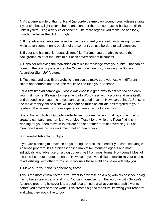**4.** As a general rule of thumb, blend (no border, same background) your Adsense units if your site has a light color scheme and contrast (border, contrasting background) the units if you're using a dark color scheme. The more organic you make the ads look, usually the better the click through.

**5.** If the advertisements are based within the content you should avoid using borders while advertisement units outside of the content can use borders to call attention.

**6.** If your site has mainly repeat visitors (like Forums) you are able to rotate the background color of the units to cut back advertisement blindness

**7.** Consider removing the "Advertise on this site" message from your units. That can be done on the control panel under the "My Account" section, disabling the "Onsite Advertiser Sign-Up" feature.

**8.** Test, test and test. Every website is unique so make sure you test with different colors and formats and track the results to fine tune your Adsense.

For a first time ad campaign, Google AdSense is a great way to get started and earn your first income. It's easy to implement into WordPress with a plugin and runs itself; and depending on your niche you can earn a good income. However, using AdSense in the make money online niche will not earn as much as affiliate ads targeted to your readers. The payments I have experienced are a few dollars at most.

Due to the simplicity of Google's AdeSense program it is worth taking some time to create a campaign and run it on your blog. Test it for a while and if you find it isn't working for you then move in to affiliate ads or another form of advertising. But as mentioned some niches work much better than others.

# <span id="page-5-0"></span>**Successful Advertising Tips**

If you are planning to advertise on your blog, as discussed earlier you can use Google's Adsense program. It's the biggest online market for internet bloggers and most individuals who advertise on a blog do very well from most forms. How come? Most of the time it's about market research. However if you would like to maximize your chances of advertising, with other forms i.e. individuals these eight tips below will help you.

**1.** Make sure your blog is generating traffic

This is the most crucial factor. If you want to advertise on a blog with success your blog has to have steady traffic and hits. You can monetise from the word go with Google's Adsense program, however it is a good idea to find out what your readership wants before you advertise to the world. This creates a good measure 'knowing your readers' and what they would like to buy.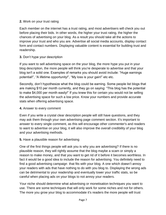#### **2.** Work on your trust rating

Each member on the internet has a trust rating, and most advertisers will check you out before placing their bids. In other words, the higher your trust rating, the higher the chances of advertising on your blog. As a result you should take all the actions to improve your trust and who you are. Advertise all social media accounts, display contact form and contact numbers. Displaying valuable content is essential for building trust and readership.

### **3.** Don't hype your description

If you want to sell advertising space on the your blog, the more hype you put in your blog description, the more people will think you're desperate to advertise and that your blog isn't a solid one. Examples of remarks you should avoid include: "Huge earnings potential!", "A lifetime opportunity!", "My loss is your gain!" etc etc.

Secondly, don't hypothesize what the blog could be earning. Some people list blogs that are making \$10 per month currently, and they go on saying: "This blog has the potential to make \$4,000 per month easily!" If you knew this for certain you would not be selling the advertising space for such a low price. Know your numbers and provide accurate stats when offering advertising space.

#### **4.** Answer to every comment

Even if you write a crystal clear description people will still have questions, and they may ask them through your own advertising page comment section. It's important to answer to every single comment, as this will encourage other commenter's and readers to want to advertise on your blog, it will also improve the overall credibility of your blog and your advertising methods.

### **5.** Have a plausible reason for advertising

One of the first things people will ask you is why you are advertising? If there is no plausible reason, they will rightly assume that the blog maybe a scam or simply a reason to make money, and that you want to get rid of it before it becomes worthless. In fact it would be a good idea to include the reason for advertising. You definitely need to find a good advertising campaign that fits with your blog. A one which doesn't annoy your readers with ads that have nothing to do with you blog to. Displaying the wrong ads can be detrimental to your readership and eventually lower your traffic stats, so be careful when placing ads on your blogs to not annoy your readers.

Your niche should determine what advertising or monetisation techniques you want to use. There are some techniques that will only work for some niches and not for others. The more you grow your blog to accommodate it's readers the more people will trust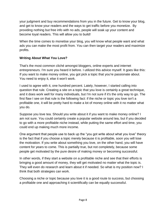your judgment and buy recommendations from you in the future. Get to know your blog, and get to know your readers and the ways to get traffic before you monetize. By providing nothing but free info with no ads, people will soak up your content and become loyal readers. This will allow you to build!

When the time comes to monetise your blog, you will know what people want and what ads you can make the most profit from. You can then target your readers and maximize profits.

# <span id="page-7-0"></span>**Writing About What You Love?**

That's the most common cliché amongst bloggers, online experts and internet entrepreneurs. I'm sure you heard it before. I utilized this advice myself. It goes like this: If you want to make money online, you got pick a topic that you're passionate about. You need to enjoy it, else it won't work.

I used to agree with it, one hundred percent. Lately, however, I started calling into question that rule. Creating a site on a topic that you love is certainly a great technique, and it does work well for many individuals, but I'm not sure if it's the only way to go. The first flaw I see on that rule is the following fact: if the niche or topic you love isn't a profitable one, it will be pretty hard to make a lot of money online with it no matter what you do.

Suppose you love tea. Should you write about it if you want to make money online? I am not sure. You could certainly create a popular website around tea, but if you decided to go with a more profitable niche instead, while putting the same effort and time, you could end up making much more income.

One argument that people use to back up the "you got write about what you love" theory is the fact that if you choose a topic merely because it is profitable, soon you will lose the motivation. If you write about something you love, on the other hand, you will have content for years to come. This is partially true, but not completely, because some people get motivated by the pure desire of making money or becoming successful.

In other words, if they start a website on a profitable niche and see that their efforts is bringing a good amount of money, they will get motivated no matter what the topic is. They will even do research and learn about it if needed. So what is my position now? I think that both strategies can work.

Choosing a niche or topic because you love it is a good route to success, but choosing a profitable one and approaching it scientifically can be equally successful.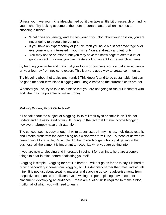Unless you have your niche idea planned out it can take a little bit of research on finding your niche. Try looking at some of the more important factors when it comes to choosing a niche:

- What gives you energy and excites you? If you blog about your passion, you are never going to struggle for content.
- If you have an expert hobby or job role then you have a distinct advantage over everyone who is interested in your niche. You are already and authority.
- You may not be an expert, but you may have the knowledge to create a lot of good content. This way you can create a lot of content for the search engines.

By learning your niche and making it your focus or business, you can take an audience on your journey from novice to expert. This is a very good way to create community.

Try blogging about hot topics and trends? This doesn't tend to be sustainable, but can be good for short term niche blogging and Google traffic as the current niches are hot.

Whatever you do, try to take on a niche that you are not going to run out if content with and what has the potential to make money.

### <span id="page-8-0"></span>**Making Money, Fact? Or fiction?**

If I speak about the subject of blogging, folks roll their eyes or smile in an "I do not understand but okay" kind of way. If I bring up the fact that I make income blogging, however, I abruptly have their attention.

The concept seems easy enough. I write about issues in my niches, individuals read it, and I make profit from the advertising be it whichever form I use. To those of us who've been doing it for a while, it's simple. To the novice blogger who is just getting in the business, all the same, it is important to recognize what you are getting into.

If you are new to blogging and interested in doing it for earnings, here are a couple things to bear in mind before dedicating yourself.

Blogging is simple. Blogging for profit is harder. I will not go as far as to say it is hard to draw a secondary income from blogging, but it is definitely harder than most individuals think. It is not just about creating material and slapping up some advertisements from respective companies or affiliates. Good writing, proper tinplating, advertisement placement, developing an audience… there are a lot of skills required to make a blog fruitful, all of which you will need to learn.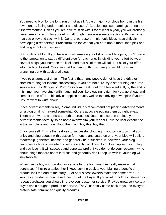You need to blog for the long run or not at all. A vast majority of blogs bomb in the first few months, falling under neglect and disuse. A Couple blogs see earnings during the first few months. Unless you are able to stick with it for at least a year, you will probably never see any return for your effort, although there are some exceptions. Pick a niche that you enjoy and stick with it. General purpose or multi-topic blogs have difficulty developing a readership. Brainstorm the topics that you care about most, then pick one and blog about it exclusively.

Start with one blog. If you have a lot of items on your list of possible topics, don't give in to the temptation to start a different blog for each one. By dividing your effort between several blogs, you increase the likelihood that all of them will fail. Put all of your effort into one blog to start. Once you get the hang of things, then you might consider branching out with additional blogs.

If you're unsure, test drive it. The fact is that many people do not have the drive or stamina to blog for income successfully. If you are not sure, try a starter blog on a free service such as Blogger or WordPress.com. Feel it out for a few weeks. If, by the end of this time, you have stuck with it and find you like blogging is right for you, go ahead and commit to the effort. This advice applies equally well to test driving new topics if you're unsure what to write about.

Place advertisements wisely. Some individuals recommend not placing advertisements on a blog until its matured somewhat. Others advocate putting them up right away. There are rewards and risks to both approaches. Just make certain to place your advertisements tactfully so as not to overwhelm your readers. Put the user experience in the first place and don't flood them with buy this, buy that!

Enjoy yourself. This is the real key to successful blogging. If you pick a topic that you enjoy and blog about it with passion for months and years on end, your blog will build a readership, generate income, and generally be a success. If, however, your blog becomes a chore to maintain, it will inevitably fail. Thus, if you keep up with your blog and you love it, it will succeed and generate profit. If you do not do your research, write about things that are not of interest, and generally don't keep up with it, your blog will inevitably fail.

When clients buy your product or service for the first time they really make a trial purchase. If they're gratified they'll keep coming back to you. Making a beneficial product isn't the end of the story. A lot of business owners make the same error. As soon as a product is purchased they forget the buyer. If you want to hold a customer for repeat purchases you should improve your customer service. Provide great service to a buyer who's bought a product or service. They'll certainly come back to you as everyone prefers safe, familiar and quality products.